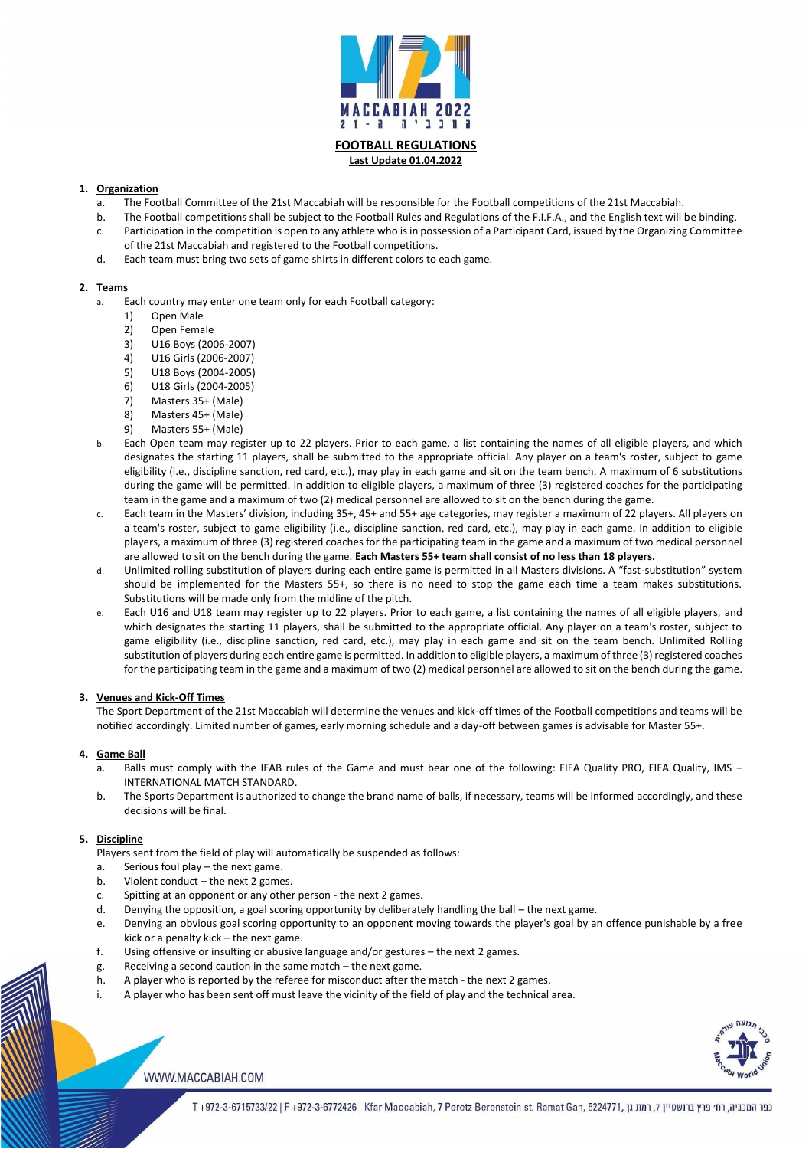

**FOOTBALL REGULATIONS Last Update 01.04.2022**

## **1. Organization**

- a. The Football Committee of the 21st Maccabiah will be responsible for the Football competitions of the 21st Maccabiah.
- b. The Football competitions shall be subject to the Football Rules and Regulations of the F.I.F.A., and the English text will be binding.
- c. Participation in the competition is open to any athlete who is in possession of a Participant Card, issued by the Organizing Committee of the 21st Maccabiah and registered to the Football competitions.
- d. Each team must bring two sets of game shirts in different colors to each game.

### **2. Teams**

- a. Each country may enter one team only for each Football category:
	- 1) Open Male
	- 2) Open Female
	- 3) U16 Boys (2006-2007)
	- 4) U16 Girls (2006-2007)
	- 5) U18 Boys (2004-2005)
	- 6) U18 Girls (2004-2005)
	- 7) Masters 35+ (Male)
	- 8) Masters 45+ (Male)
	- 9) Masters 55+ (Male)
- b. Each Open team may register up to 22 players. Prior to each game, a list containing the names of all eligible players, and which designates the starting 11 players, shall be submitted to the appropriate official. Any player on a team's roster, subject to game eligibility (i.e., discipline sanction, red card, etc.), may play in each game and sit on the team bench. A maximum of 6 substitutions during the game will be permitted. In addition to eligible players, a maximum of three (3) registered coaches for the participating team in the game and a maximum of two (2) medical personnel are allowed to sit on the bench during the game.
- c. Each team in the Masters' division, including 35+, 45+ and 55+ age categories, may register a maximum of 22 players. All players on a team's roster, subject to game eligibility (i.e., discipline sanction, red card, etc.), may play in each game. In addition to eligible players, a maximum of three (3) registered coaches for the participating team in the game and a maximum of two medical personnel are allowed to sit on the bench during the game. **Each Masters 55+ team shall consist of no less than 18 players.**
- d. Unlimited rolling substitution of players during each entire game is permitted in all Masters divisions. A "fast-substitution" system should be implemented for the Masters 55+, so there is no need to stop the game each time a team makes substitutions. Substitutions will be made only from the midline of the pitch.
- e. Each U16 and U18 team may register up to 22 players. Prior to each game, a list containing the names of all eligible players, and which designates the starting 11 players, shall be submitted to the appropriate official. Any player on a team's roster, subject to game eligibility (i.e., discipline sanction, red card, etc.), may play in each game and sit on the team bench. Unlimited Rolling substitution of players during each entire game is permitted. In addition to eligible players, a maximum of three (3) registered coaches for the participating team in the game and a maximum of two (2) medical personnel are allowed to sit on the bench during the game.

### **3. Venues and Kick-Off Times**

The Sport Department of the 21st Maccabiah will determine the venues and kick-off times of the Football competitions and teams will be notified accordingly. Limited number of games, early morning schedule and a day-off between games is advisable for Master 55+.

### **4. Game Ball**

- a. Balls must comply with the IFAB rules of the Game and must bear one of the following: FIFA Quality PRO, FIFA Quality, IMS INTERNATIONAL MATCH STANDARD.
- b. The Sports Department is authorized to change the brand name of balls, if necessary, teams will be informed accordingly, and these decisions will be final.

# **5. Discipline**

Players sent from the field of play will automatically be suspended as follows:

- a. Serious foul play the next game.
- b. Violent conduct the next 2 games.
- c. Spitting at an opponent or any other person the next 2 games.
- d. Denying the opposition, a goal scoring opportunity by deliberately handling the ball the next game.
- e. Denying an obvious goal scoring opportunity to an opponent moving towards the player's goal by an offence punishable by a free kick or a penalty kick – the next game.
- f. Using offensive or insulting or abusive language and/or gestures the next 2 games.
- g. Receiving a second caution in the same match the next game.
- h. A player who is reported by the referee for misconduct after the match the next 2 games.
- i. A player who has been sent off must leave the vicinity of the field of play and the technical area.



### WWW.MACCABIAH.COM

כפר המכביה, רח׳ פרץ ברנשטיין 7, רמת גן ,972-3-6715733/22 | F +972-3-6772426 | Kfar Maccabiah, 7 Peretz Berenstein st. Ramat Gan, 5224771, רמת גן ה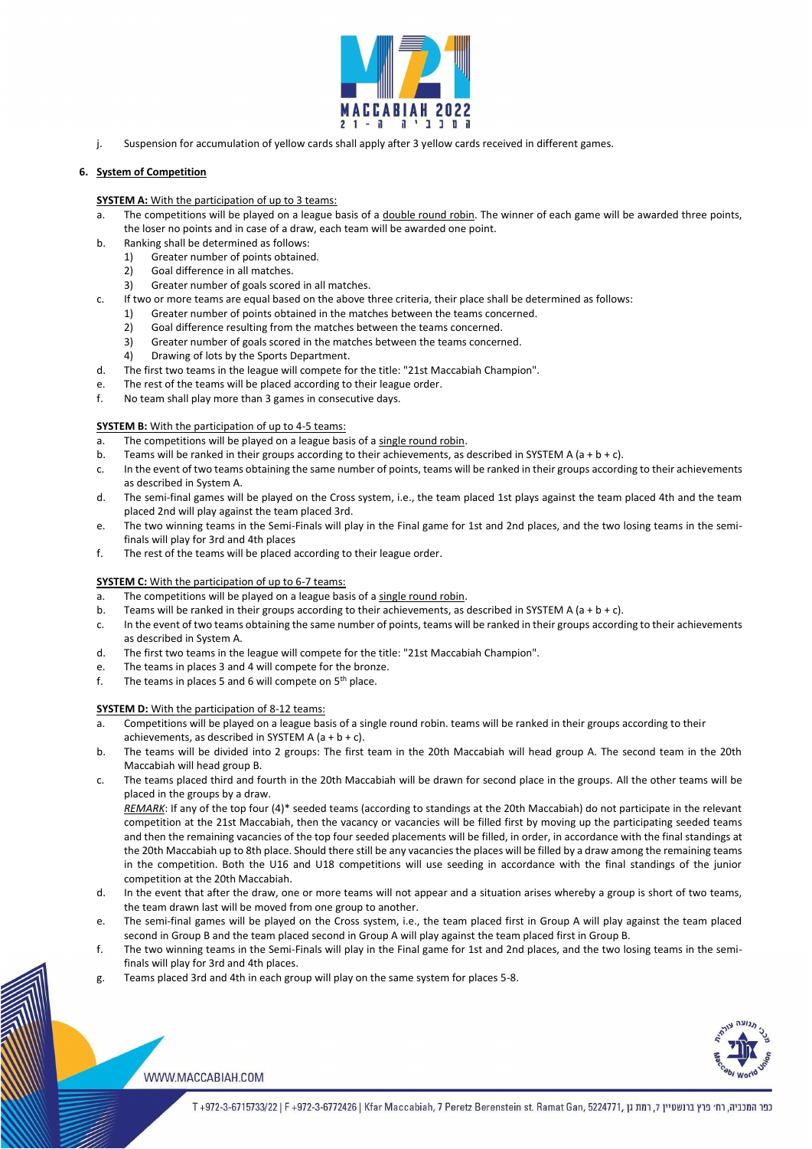

j. Suspension for accumulation of yellow cards shall apply after 3 yellow cards received in different games.

## **6. System of Competition**

#### **SYSTEM A:** With the participation of up to 3 teams:

- a. The competitions will be played on a league basis of a double round robin. The winner of each game will be awarded three points, the loser no points and in case of a draw, each team will be awarded one point.
- b. Ranking shall be determined as follows:
	- 1) Greater number of points obtained.
	- 2) Goal difference in all matches.
	- 3) Greater number of goals scored in all matches.
- c. If two or more teams are equal based on the above three criteria, their place shall be determined as follows:
	- 1) Greater number of points obtained in the matches between the teams concerned.
	- 2) Goal difference resulting from the matches between the teams concerned.
	- 3) Greater number of goals scored in the matches between the teams concerned.
	- 4) Drawing of lots by the Sports Department.
- d. The first two teams in the league will compete for the title: "21st Maccabiah Champion".
- e. The rest of the teams will be placed according to their league order.
- f. No team shall play more than 3 games in consecutive days.

#### **SYSTEM B:** With the participation of up to 4-5 teams:

- a. The competitions will be played on a league basis of a single round robin.
- b. Teams will be ranked in their groups according to their achievements, as described in SYSTEM A (a + b + c).
- c. In the event of two teams obtaining the same number of points, teams will be ranked in their groups according to their achievements as described in System A.
- d. The semi-final games will be played on the Cross system, i.e., the team placed 1st plays against the team placed 4th and the team placed 2nd will play against the team placed 3rd.
- e. The two winning teams in the Semi-Finals will play in the Final game for 1st and 2nd places, and the two losing teams in the semifinals will play for 3rd and 4th places
- f. The rest of the teams will be placed according to their league order.

### **SYSTEM C:** With the participation of up to 6-7 teams:

- a. The competitions will be played on a league basis of a single round robin.
- b. Teams will be ranked in their groups according to their achievements, as described in SYSTEM A (a + b + c).
- c. In the event of two teams obtaining the same number of points, teams will be ranked in their groups according to their achievements as described in System A.
- d. The first two teams in the league will compete for the title: "21st Maccabiah Champion".
- e. The teams in places 3 and 4 will compete for the bronze.
- f. The teams in places 5 and 6 will compete on  $5<sup>th</sup>$  place.

### **SYSTEM D:** With the participation of 8-12 teams:

- a. Competitions will be played on a league basis of a single round robin. teams will be ranked in their groups according to their achievements, as described in SYSTEM A  $(a + b + c)$ .
- b. The teams will be divided into 2 groups: The first team in the 20th Maccabiah will head group A. The second team in the 20th Maccabiah will head group B.
- c. The teams placed third and fourth in the 20th Maccabiah will be drawn for second place in the groups. All the other teams will be placed in the groups by a draw.

*REMARK*: If any of the top four (4)\* seeded teams (according to standings at the 20th Maccabiah) do not participate in the relevant competition at the 21st Maccabiah, then the vacancy or vacancies will be filled first by moving up the participating seeded teams and then the remaining vacancies of the top four seeded placements will be filled, in order, in accordance with the final standings at the 20th Maccabiah up to 8th place. Should there still be any vacancies the places will be filled by a draw among the remaining teams in the competition. Both the U16 and U18 competitions will use seeding in accordance with the final standings of the junior

- competition at the 20th Maccabiah.
- d. In the event that after the draw, one or more teams will not appear and a situation arises whereby a group is short of two teams, the team drawn last will be moved from one group to another.
- e. The semi-final games will be played on the Cross system, i.e., the team placed first in Group A will play against the team placed second in Group B and the team placed second in Group A will play against the team placed first in Group B.
- f. The two winning teams in the Semi-Finals will play in the Final game for 1st and 2nd places, and the two losing teams in the semifinals will play for 3rd and 4th places.
- g. Teams placed 3rd and 4th in each group will play on the same system for places 5-8.



WWW.MACCABIAH.COM

כפר המכביה, רח׳ פרץ ברנשטיין 7, רמת גן ,6724771, T+972-3-6772426 | Kfar Maccabiah, 7 Peretz Berenstein st. Ramat Gan, 5224771, רמת גן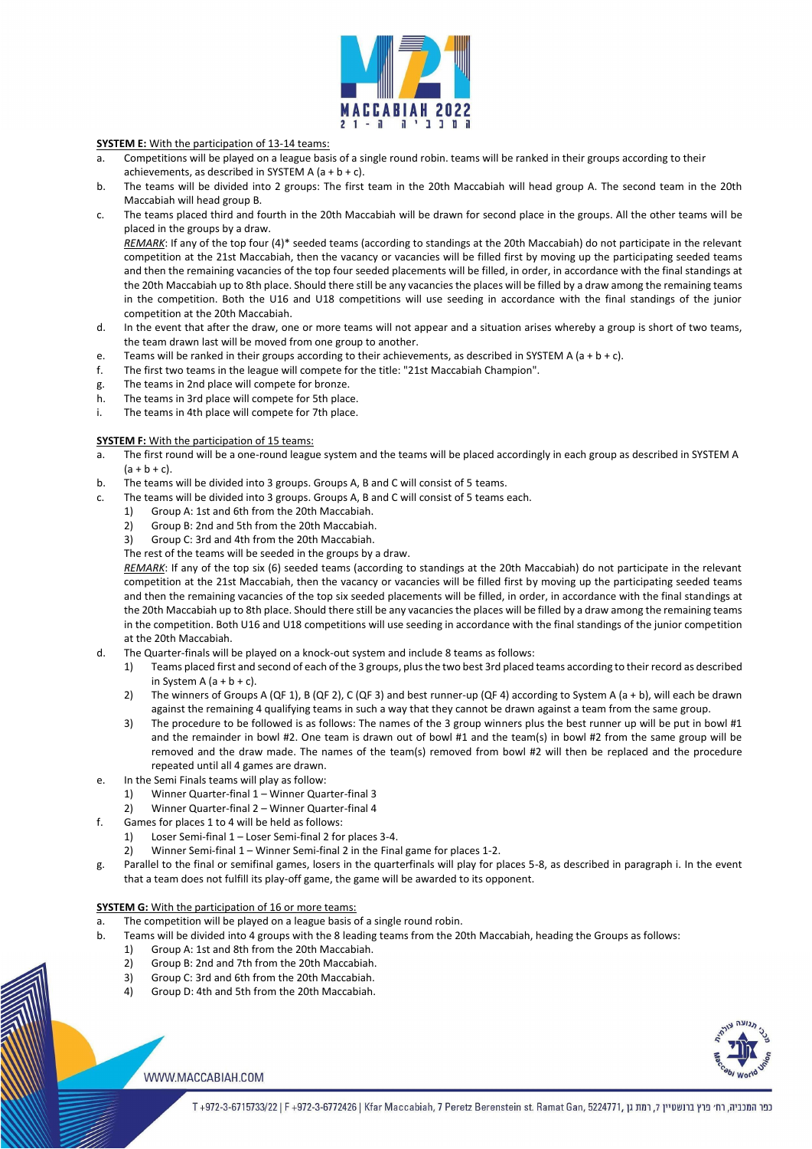

## **SYSTEM E:** With the participation of 13-14 teams:

- a. Competitions will be played on a league basis of a single round robin. teams will be ranked in their groups according to their achievements, as described in SYSTEM A  $(a + b + c)$ .
- b. The teams will be divided into 2 groups: The first team in the 20th Maccabiah will head group A. The second team in the 20th Maccabiah will head group B.
- c. The teams placed third and fourth in the 20th Maccabiah will be drawn for second place in the groups. All the other teams will be placed in the groups by a draw.

*REMARK*: If any of the top four (4)\* seeded teams (according to standings at the 20th Maccabiah) do not participate in the relevant competition at the 21st Maccabiah, then the vacancy or vacancies will be filled first by moving up the participating seeded teams and then the remaining vacancies of the top four seeded placements will be filled, in order, in accordance with the final standings at the 20th Maccabiah up to 8th place. Should there still be any vacancies the places will be filled by a draw among the remaining teams in the competition. Both the U16 and U18 competitions will use seeding in accordance with the final standings of the junior competition at the 20th Maccabiah.

- d. In the event that after the draw, one or more teams will not appear and a situation arises whereby a group is short of two teams, the team drawn last will be moved from one group to another.
- e. Teams will be ranked in their groups according to their achievements, as described in SYSTEM A (a + b + c).
- f. The first two teams in the league will compete for the title: "21st Maccabiah Champion".
- g. The teams in 2nd place will compete for bronze.
- h. The teams in 3rd place will compete for 5th place.
- i. The teams in 4th place will compete for 7th place.

### **SYSTEM F:** With the participation of 15 teams:

- a. The first round will be a one-round league system and the teams will be placed accordingly in each group as described in SYSTEM A  $(a + b + c)$ .
- b. The teams will be divided into 3 groups. Groups A, B and C will consist of 5 teams.
- c. The teams will be divided into 3 groups. Groups A, B and C will consist of 5 teams each.
	- 1) Group A: 1st and 6th from the 20th Maccabiah.
	- 2) Group B: 2nd and 5th from the 20th Maccabiah.
	- 3) Group C: 3rd and 4th from the 20th Maccabiah.

The rest of the teams will be seeded in the groups by a draw.

*REMARK*: If any of the top six (6) seeded teams (according to standings at the 20th Maccabiah) do not participate in the relevant competition at the 21st Maccabiah, then the vacancy or vacancies will be filled first by moving up the participating seeded teams and then the remaining vacancies of the top six seeded placements will be filled, in order, in accordance with the final standings at the 20th Maccabiah up to 8th place. Should there still be any vacancies the places will be filled by a draw among the remaining teams in the competition. Both U16 and U18 competitions will use seeding in accordance with the final standings of the junior competition at the 20th Maccabiah.

- d. The Quarter-finals will be played on a knock-out system and include 8 teams as follows:
	- 1) Teams placed first and second of each of the 3 groups, plus the two best 3rd placed teams according to their record as described in System A  $(a + b + c)$ .
	- 2) The winners of Groups A (QF 1), B (QF 2), C (QF 3) and best runner-up (QF 4) according to System A (a + b), will each be drawn against the remaining 4 qualifying teams in such a way that they cannot be drawn against a team from the same group.
	- 3) The procedure to be followed is as follows: The names of the 3 group winners plus the best runner up will be put in bowl #1 and the remainder in bowl #2. One team is drawn out of bowl #1 and the team(s) in bowl #2 from the same group will be removed and the draw made. The names of the team(s) removed from bowl #2 will then be replaced and the procedure repeated until all 4 games are drawn.
- e. In the Semi Finals teams will play as follow:
	- 1) Winner Quarter-final 1 Winner Quarter-final 3
	- 2) Winner Quarter-final 2 Winner Quarter-final 4
- f. Games for places 1 to 4 will be held as follows:
	- 1) Loser Semi-final 1 Loser Semi-final 2 for places 3-4.
	- 2) Winner Semi-final 1 Winner Semi-final 2 in the Final game for places 1-2.
	- Parallel to the final or semifinal games, losers in the quarterfinals will play for places 5-8, as described in paragraph i. In the event
- that a team does not fulfill its play-off game, the game will be awarded to its opponent.

#### **SYSTEM G:** With the participation of 16 or more teams:

- a. The competition will be played on a league basis of a single round robin.
- b. Teams will be divided into 4 groups with the 8 leading teams from the 20th Maccabiah, heading the Groups as follows:
	- 1) Group A: 1st and 8th from the 20th Maccabiah.
	- 2) Group B: 2nd and 7th from the 20th Maccabiah.
	- 3) Group C: 3rd and 6th from the 20th Maccabiah.
	- 4) Group D: 4th and 5th from the 20th Maccabiah.



### WWW.MACCABIAH.COM

כפר המכביה, רח׳ פרץ ברנשטיין 7, רמת גן ,972-3-6715733/22 | F +972-3-6772426 | Kfar Maccabiah, 7 Peretz Berenstein st. Ramat Gan, 5224771, רמת גן ה